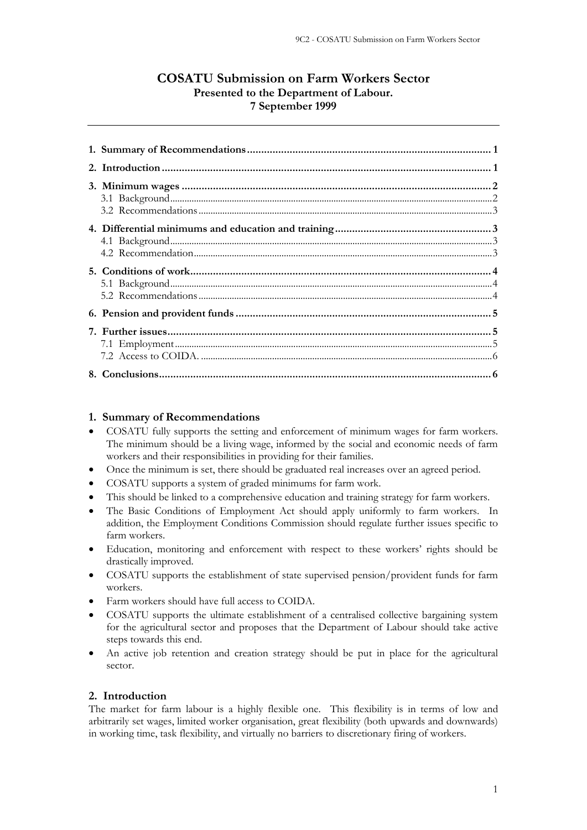# **COSATU Submission on Farm Workers Sector Presented to the Department of Labour. 7 September 1999**

### **1. Summary of Recommendations**

- COSATU fully supports the setting and enforcement of minimum wages for farm workers. The minimum should be a living wage, informed by the social and economic needs of farm workers and their responsibilities in providing for their families.
- Once the minimum is set, there should be graduated real increases over an agreed period.
- COSATU supports a system of graded minimums for farm work.
- This should be linked to a comprehensive education and training strategy for farm workers.
- The Basic Conditions of Employment Act should apply uniformly to farm workers. In addition, the Employment Conditions Commission should regulate further issues specific to farm workers.
- Education, monitoring and enforcement with respect to these workers' rights should be drastically improved.
- COSATU supports the establishment of state supervised pension/provident funds for farm workers.
- Farm workers should have full access to COIDA.
- COSATU supports the ultimate establishment of a centralised collective bargaining system for the agricultural sector and proposes that the Department of Labour should take active steps towards this end.
- An active job retention and creation strategy should be put in place for the agricultural sector.

## **2. Introduction**

The market for farm labour is a highly flexible one. This flexibility is in terms of low and arbitrarily set wages, limited worker organisation, great flexibility (both upwards and downwards) in working time, task flexibility, and virtually no barriers to discretionary firing of workers.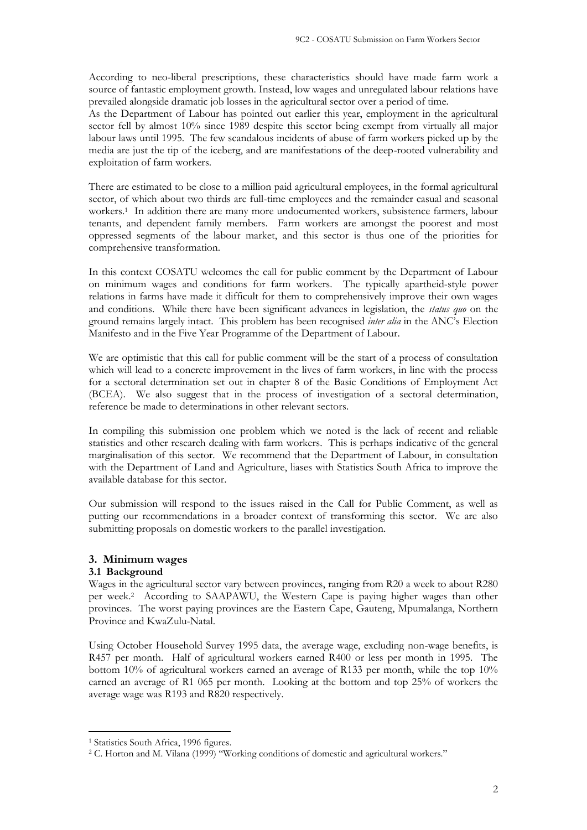According to neo-liberal prescriptions, these characteristics should have made farm work a source of fantastic employment growth. Instead, low wages and unregulated labour relations have prevailed alongside dramatic job losses in the agricultural sector over a period of time.

As the Department of Labour has pointed out earlier this year, employment in the agricultural sector fell by almost 10% since 1989 despite this sector being exempt from virtually all major labour laws until 1995. The few scandalous incidents of abuse of farm workers picked up by the media are just the tip of the iceberg, and are manifestations of the deep-rooted vulnerability and exploitation of farm workers.

There are estimated to be close to a million paid agricultural employees, in the formal agricultural sector, of which about two thirds are full-time employees and the remainder casual and seasonal workers.<sup>1</sup> In addition there are many more undocumented workers, subsistence farmers, labour tenants, and dependent family members. Farm workers are amongst the poorest and most oppressed segments of the labour market, and this sector is thus one of the priorities for comprehensive transformation.

In this context COSATU welcomes the call for public comment by the Department of Labour on minimum wages and conditions for farm workers. The typically apartheid-style power relations in farms have made it difficult for them to comprehensively improve their own wages and conditions. While there have been significant advances in legislation, the *status quo* on the ground remains largely intact. This problem has been recognised *inter alia* in the ANC's Election Manifesto and in the Five Year Programme of the Department of Labour.

We are optimistic that this call for public comment will be the start of a process of consultation which will lead to a concrete improvement in the lives of farm workers, in line with the process for a sectoral determination set out in chapter 8 of the Basic Conditions of Employment Act (BCEA). We also suggest that in the process of investigation of a sectoral determination, reference be made to determinations in other relevant sectors.

In compiling this submission one problem which we noted is the lack of recent and reliable statistics and other research dealing with farm workers. This is perhaps indicative of the general marginalisation of this sector. We recommend that the Department of Labour, in consultation with the Department of Land and Agriculture, liases with Statistics South Africa to improve the available database for this sector.

Our submission will respond to the issues raised in the Call for Public Comment, as well as putting our recommendations in a broader context of transforming this sector. We are also submitting proposals on domestic workers to the parallel investigation.

# **3. Minimum wages**

# **3.1 Background**

Wages in the agricultural sector vary between provinces, ranging from R20 a week to about R280 per week.<sup>2</sup> According to SAAPAWU, the Western Cape is paying higher wages than other provinces. The worst paying provinces are the Eastern Cape, Gauteng, Mpumalanga, Northern Province and KwaZulu-Natal.

Using October Household Survey 1995 data, the average wage, excluding non-wage benefits, is R457 per month. Half of agricultural workers earned R400 or less per month in 1995. The bottom 10% of agricultural workers earned an average of R133 per month, while the top 10% earned an average of R1 065 per month. Looking at the bottom and top 25% of workers the average wage was R193 and R820 respectively.

<sup>&</sup>lt;sup>1</sup> Statistics South Africa, 1996 figures.

<sup>&</sup>lt;sup>2</sup> C. Horton and M. Vilana (1999) "Working conditions of domestic and agricultural workers."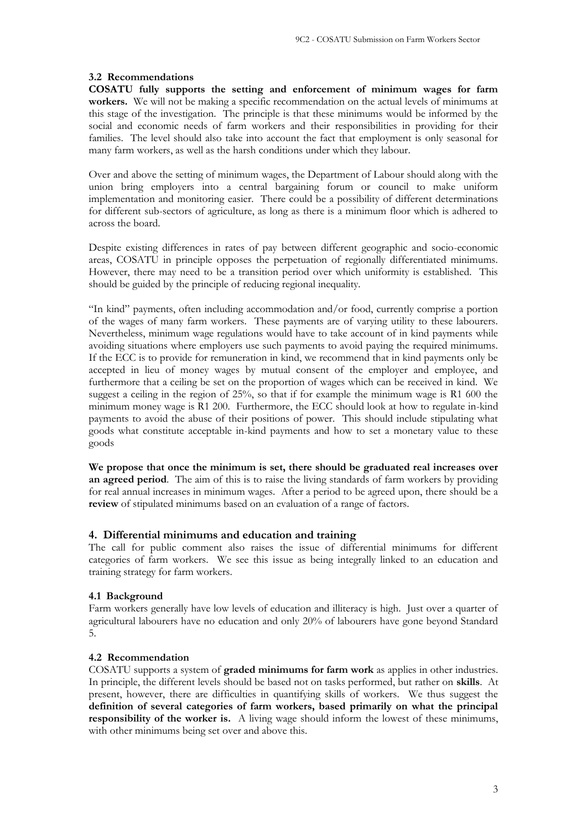### **3.2 Recommendations**

**COSATU fully supports the setting and enforcement of minimum wages for farm workers.** We will not be making a specific recommendation on the actual levels of minimums at this stage of the investigation. The principle is that these minimums would be informed by the social and economic needs of farm workers and their responsibilities in providing for their families. The level should also take into account the fact that employment is only seasonal for many farm workers, as well as the harsh conditions under which they labour.

Over and above the setting of minimum wages, the Department of Labour should along with the union bring employers into a central bargaining forum or council to make uniform implementation and monitoring easier. There could be a possibility of different determinations for different sub-sectors of agriculture, as long as there is a minimum floor which is adhered to across the board.

Despite existing differences in rates of pay between different geographic and socio-economic areas, COSATU in principle opposes the perpetuation of regionally differentiated minimums. However, there may need to be a transition period over which uniformity is established. This should be guided by the principle of reducing regional inequality.

"In kind" payments, often including accommodation and/or food, currently comprise a portion of the wages of many farm workers. These payments are of varying utility to these labourers. Nevertheless, minimum wage regulations would have to take account of in kind payments while avoiding situations where employers use such payments to avoid paying the required minimums. If the ECC is to provide for remuneration in kind, we recommend that in kind payments only be accepted in lieu of money wages by mutual consent of the employer and employee, and furthermore that a ceiling be set on the proportion of wages which can be received in kind. We suggest a ceiling in the region of 25%, so that if for example the minimum wage is R1 600 the minimum money wage is R1 200. Furthermore, the ECC should look at how to regulate in-kind payments to avoid the abuse of their positions of power. This should include stipulating what goods what constitute acceptable in-kind payments and how to set a monetary value to these goods

**We propose that once the minimum is set, there should be graduated real increases over an agreed period**. The aim of this is to raise the living standards of farm workers by providing for real annual increases in minimum wages. After a period to be agreed upon, there should be a **review** of stipulated minimums based on an evaluation of a range of factors.

### **4. Differential minimums and education and training**

The call for public comment also raises the issue of differential minimums for different categories of farm workers. We see this issue as being integrally linked to an education and training strategy for farm workers.

# **4.1 Background**

Farm workers generally have low levels of education and illiteracy is high. Just over a quarter of agricultural labourers have no education and only 20% of labourers have gone beyond Standard 5.

### **4.2 Recommendation**

COSATU supports a system of **graded minimums for farm work** as applies in other industries. In principle, the different levels should be based not on tasks performed, but rather on **skills**. At present, however, there are difficulties in quantifying skills of workers. We thus suggest the **definition of several categories of farm workers, based primarily on what the principal responsibility of the worker is.** A living wage should inform the lowest of these minimums, with other minimums being set over and above this.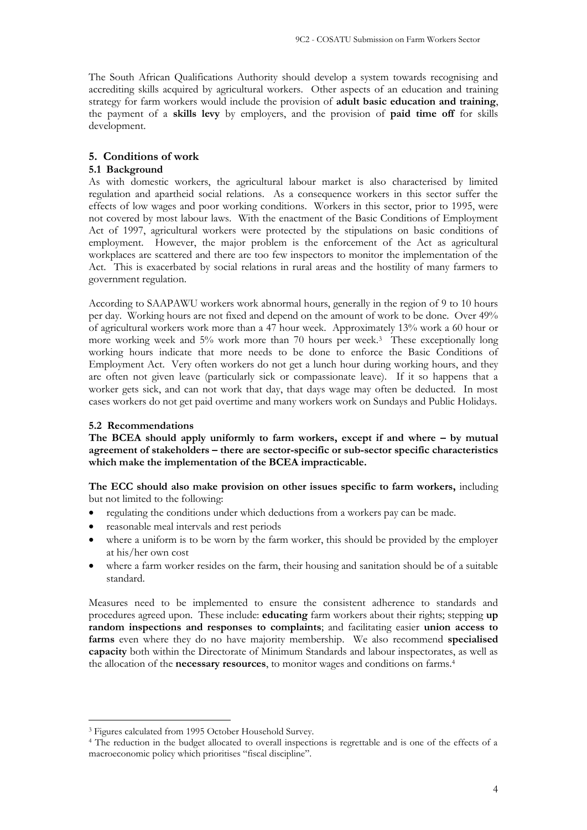The South African Qualifications Authority should develop a system towards recognising and accrediting skills acquired by agricultural workers. Other aspects of an education and training strategy for farm workers would include the provision of **adult basic education and training**, the payment of a **skills levy** by employers, and the provision of **paid time off** for skills development.

## **5. Conditions of work**

### **5.1 Background**

As with domestic workers, the agricultural labour market is also characterised by limited regulation and apartheid social relations. As a consequence workers in this sector suffer the effects of low wages and poor working conditions. Workers in this sector, prior to 1995, were not covered by most labour laws. With the enactment of the Basic Conditions of Employment Act of 1997, agricultural workers were protected by the stipulations on basic conditions of employment. However, the major problem is the enforcement of the Act as agricultural workplaces are scattered and there are too few inspectors to monitor the implementation of the Act. This is exacerbated by social relations in rural areas and the hostility of many farmers to government regulation.

According to SAAPAWU workers work abnormal hours, generally in the region of 9 to 10 hours per day. Working hours are not fixed and depend on the amount of work to be done. Over 49% of agricultural workers work more than a 47 hour week. Approximately 13% work a 60 hour or more working week and 5% work more than 70 hours per week.<sup>3</sup> These exceptionally long working hours indicate that more needs to be done to enforce the Basic Conditions of Employment Act. Very often workers do not get a lunch hour during working hours, and they are often not given leave (particularly sick or compassionate leave). If it so happens that a worker gets sick, and can not work that day, that days wage may often be deducted. In most cases workers do not get paid overtime and many workers work on Sundays and Public Holidays.

### **5.2 Recommendations**

The BCEA should apply uniformly to farm workers, except if and where – by mutual **agreement of stakeholders – there are sector-specific or sub-sector specific characteristics which make the implementation of the BCEA impracticable.**

**The ECC should also make provision on other issues specific to farm workers,** including but not limited to the following:

- regulating the conditions under which deductions from a workers pay can be made.
- reasonable meal intervals and rest periods
- where a uniform is to be worn by the farm worker, this should be provided by the employer at his/her own cost
- where a farm worker resides on the farm, their housing and sanitation should be of a suitable standard.

Measures need to be implemented to ensure the consistent adherence to standards and procedures agreed upon. These include: **educating** farm workers about their rights; stepping **up random inspections and responses to complaints**; and facilitating easier **union access to farms** even where they do no have majority membership. We also recommend **specialised capacity** both within the Directorate of Minimum Standards and labour inspectorates, as well as the allocation of the **necessary resources**, to monitor wages and conditions on farms.<sup>4</sup>

<sup>3</sup> Figures calculated from 1995 October Household Survey.

<sup>4</sup> The reduction in the budget allocated to overall inspections is regrettable and is one of the effects of a macroeconomic policy which prioritises "fiscal discipline".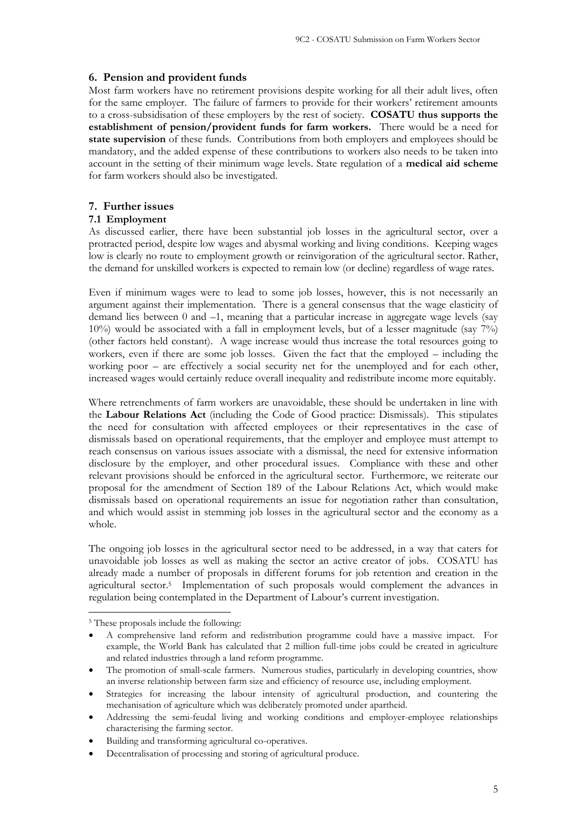# **6. Pension and provident funds**

Most farm workers have no retirement provisions despite working for all their adult lives, often for the same employer. The failure of farmers to provide for their workers' retirement amounts to a cross-subsidisation of these employers by the rest of society. **COSATU thus supports the establishment of pension/provident funds for farm workers.** There would be a need for **state supervision** of these funds. Contributions from both employers and employees should be mandatory, and the added expense of these contributions to workers also needs to be taken into account in the setting of their minimum wage levels. State regulation of a **medical aid scheme** for farm workers should also be investigated.

# **7. Further issues**

# **7.1 Employment**

As discussed earlier, there have been substantial job losses in the agricultural sector, over a protracted period, despite low wages and abysmal working and living conditions. Keeping wages low is clearly no route to employment growth or reinvigoration of the agricultural sector. Rather, the demand for unskilled workers is expected to remain low (or decline) regardless of wage rates.

Even if minimum wages were to lead to some job losses, however, this is not necessarily an argument against their implementation. There is a general consensus that the wage elasticity of demand lies between 0 and –1, meaning that a particular increase in aggregate wage levels (say 10%) would be associated with a fall in employment levels, but of a lesser magnitude (say 7%) (other factors held constant). A wage increase would thus increase the total resources going to workers, even if there are some job losses. Given the fact that the employed – including the working poor – are effectively a social security net for the unemployed and for each other, increased wages would certainly reduce overall inequality and redistribute income more equitably.

Where retrenchments of farm workers are unavoidable, these should be undertaken in line with the **Labour Relations Act** (including the Code of Good practice: Dismissals). This stipulates the need for consultation with affected employees or their representatives in the case of dismissals based on operational requirements, that the employer and employee must attempt to reach consensus on various issues associate with a dismissal, the need for extensive information disclosure by the employer, and other procedural issues. Compliance with these and other relevant provisions should be enforced in the agricultural sector. Furthermore, we reiterate our proposal for the amendment of Section 189 of the Labour Relations Act, which would make dismissals based on operational requirements an issue for negotiation rather than consultation, and which would assist in stemming job losses in the agricultural sector and the economy as a whole.

The ongoing job losses in the agricultural sector need to be addressed, in a way that caters for unavoidable job losses as well as making the sector an active creator of jobs. COSATU has already made a number of proposals in different forums for job retention and creation in the agricultural sector.<sup>5</sup> Implementation of such proposals would complement the advances in regulation being contemplated in the Department of Labour's current investigation.

The promotion of small-scale farmers. Numerous studies, particularly in developing countries, show an inverse relationship between farm size and efficiency of resource use, including employment.

<sup>5</sup> These proposals include the following:

<sup>•</sup> A comprehensive land reform and redistribution programme could have a massive impact. For example, the World Bank has calculated that 2 million full-time jobs could be created in agriculture and related industries through a land reform programme.

<sup>•</sup> Strategies for increasing the labour intensity of agricultural production, and countering the mechanisation of agriculture which was deliberately promoted under apartheid.

<sup>•</sup> Addressing the semi-feudal living and working conditions and employer-employee relationships characterising the farming sector.

<sup>•</sup> Building and transforming agricultural co-operatives.

<sup>•</sup> Decentralisation of processing and storing of agricultural produce.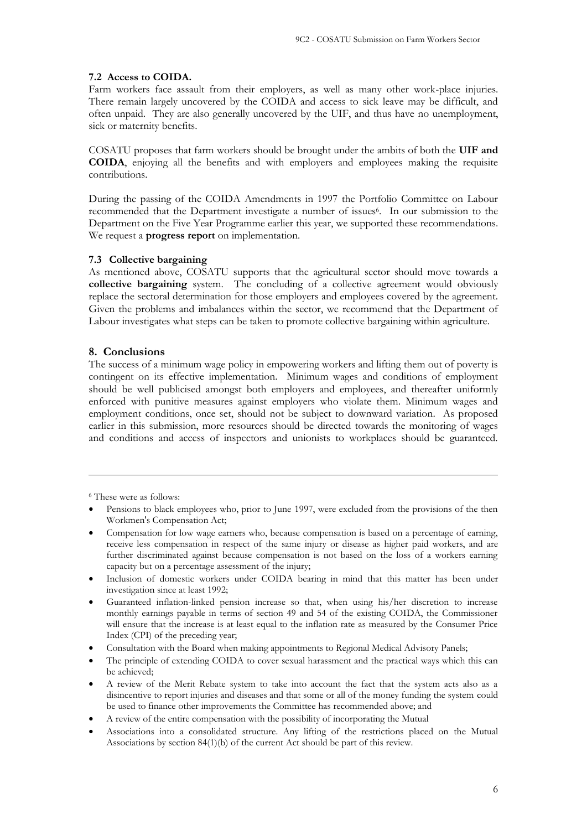# **7.2 Access to COIDA.**

Farm workers face assault from their employers, as well as many other work-place injuries. There remain largely uncovered by the COIDA and access to sick leave may be difficult, and often unpaid. They are also generally uncovered by the UIF, and thus have no unemployment, sick or maternity benefits.

COSATU proposes that farm workers should be brought under the ambits of both the **UIF and COIDA**, enjoying all the benefits and with employers and employees making the requisite contributions.

During the passing of the COIDA Amendments in 1997 the Portfolio Committee on Labour recommended that the Department investigate a number of issues<sup>6</sup>. In our submission to the Department on the Five Year Programme earlier this year, we supported these recommendations. We request a **progress report** on implementation.

## **7.3 Collective bargaining**

As mentioned above, COSATU supports that the agricultural sector should move towards a **collective bargaining** system. The concluding of a collective agreement would obviously replace the sectoral determination for those employers and employees covered by the agreement. Given the problems and imbalances within the sector, we recommend that the Department of Labour investigates what steps can be taken to promote collective bargaining within agriculture.

# **8. Conclusions**

The success of a minimum wage policy in empowering workers and lifting them out of poverty is contingent on its effective implementation. Minimum wages and conditions of employment should be well publicised amongst both employers and employees, and thereafter uniformly enforced with punitive measures against employers who violate them. Minimum wages and employment conditions, once set, should not be subject to downward variation. As proposed earlier in this submission, more resources should be directed towards the monitoring of wages and conditions and access of inspectors and unionists to workplaces should be guaranteed.

<sup>6</sup> These were as follows:

- Pensions to black employees who, prior to June 1997, were excluded from the provisions of the then Workmen's Compensation Act;
- Compensation for low wage earners who, because compensation is based on a percentage of earning, receive less compensation in respect of the same injury or disease as higher paid workers, and are further discriminated against because compensation is not based on the loss of a workers earning capacity but on a percentage assessment of the injury;
- Inclusion of domestic workers under COIDA bearing in mind that this matter has been under investigation since at least 1992;
- Guaranteed inflation-linked pension increase so that, when using his/her discretion to increase monthly earnings payable in terms of section 49 and 54 of the existing COIDA, the Commissioner will ensure that the increase is at least equal to the inflation rate as measured by the Consumer Price Index (CPI) of the preceding year;
- Consultation with the Board when making appointments to Regional Medical Advisory Panels;
- The principle of extending COIDA to cover sexual harassment and the practical ways which this can be achieved;
- A review of the Merit Rebate system to take into account the fact that the system acts also as a disincentive to report injuries and diseases and that some or all of the money funding the system could be used to finance other improvements the Committee has recommended above; and
- A review of the entire compensation with the possibility of incorporating the Mutual
- Associations into a consolidated structure. Any lifting of the restrictions placed on the Mutual Associations by section 84(1)(b) of the current Act should be part of this review.